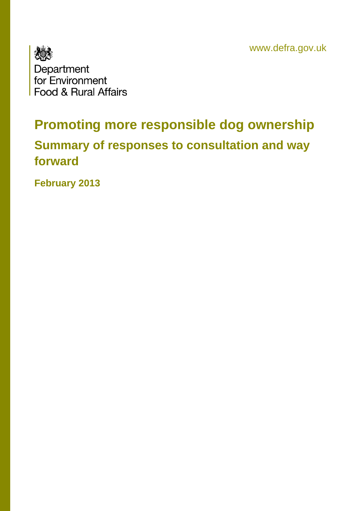www.defra.gov.uk



# **Promoting more responsible dog ownership**

## **Summary of responses to consultation and way forward**

**February 2013**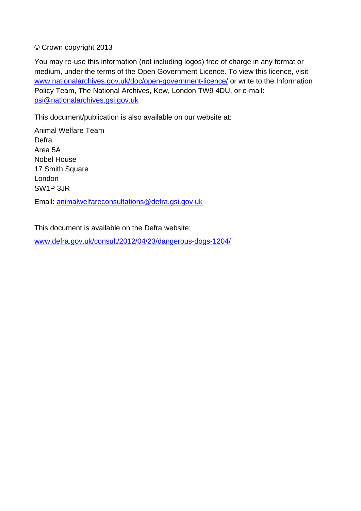#### © Crown copyright 2013

You may re-use this information (not including logos) free of charge in any format or medium, under the terms of the Open Government Licence. To view this licence, visit [www.nationalarchives.gov.uk/doc/open-government-licence/](http://www.nationalarchives.gov.uk/doc/open-government-licence/) or write to the Information Policy Team, The National Archives, Kew, London TW9 4DU, or e-mail: [psi@nationalarchives.gsi.gov.uk](mailto:psi@nationalarchives.gsi.gov.uk)

This document/publication is also available on our website at:

Animal Welfare Team Defra Area 5A Nobel House 17 Smith Square London SW1P 3JR

Email: [animalwelfareconsultations@defra.gsi.gov.uk](mailto:animalwelfareconsultations@defra.gsi.gov.uk)

This document is available on the Defra website:

[www.defra.gov.uk/consult/2012/04/23/dangerous-dogs-1204/](http://www.defra.gov.uk/consult/2012/04/23/dangerous-dogs-1204/)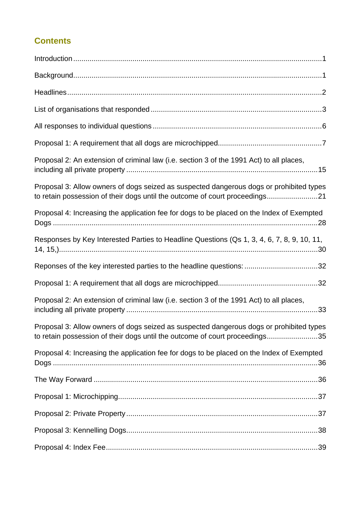### **Contents**

| Proposal 2: An extension of criminal law (i.e. section 3 of the 1991 Act) to all places,                                                                               |
|------------------------------------------------------------------------------------------------------------------------------------------------------------------------|
| Proposal 3: Allow owners of dogs seized as suspected dangerous dogs or prohibited types<br>to retain possession of their dogs until the outcome of court proceedings21 |
| Proposal 4: Increasing the application fee for dogs to be placed on the Index of Exempted                                                                              |
| Responses by Key Interested Parties to Headline Questions (Qs 1, 3, 4, 6, 7, 8, 9, 10, 11,                                                                             |
| Reponses of the key interested parties to the headline questions: 32                                                                                                   |
|                                                                                                                                                                        |
| Proposal 2: An extension of criminal law (i.e. section 3 of the 1991 Act) to all places,                                                                               |
| Proposal 3: Allow owners of dogs seized as suspected dangerous dogs or prohibited types<br>to retain possession of their dogs until the outcome of court proceedings35 |
| Proposal 4: Increasing the application fee for dogs to be placed on the Index of Exempted                                                                              |
|                                                                                                                                                                        |
|                                                                                                                                                                        |
|                                                                                                                                                                        |
|                                                                                                                                                                        |
|                                                                                                                                                                        |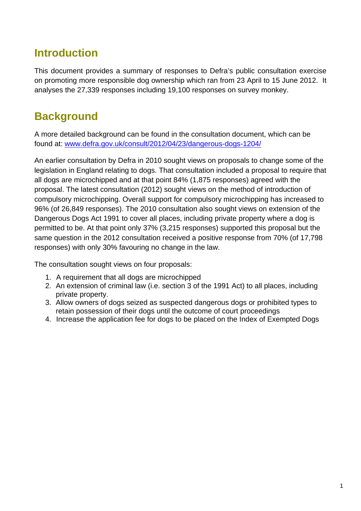## <span id="page-3-0"></span>**Introduction**

This document provides a summary of responses to Defra's public consultation exercise on promoting more responsible dog ownership which ran from 23 April to 15 June 2012. It analyses the 27,339 responses including 19,100 responses on survey monkey.

## **Background**

A more detailed background can be found in the consultation document, which can be found at: [www.defra.gov.uk/consult/2012/04/23/dangerous-dogs-1204/](http://www.defra.gov.uk/consult/2012/04/23/dangerous-dogs-1204/)

An earlier consultation by Defra in 2010 sought views on proposals to change some of the legislation in England relating to dogs. That consultation included a proposal to require that all dogs are microchipped and at that point 84% (1,875 responses) agreed with the proposal. The latest consultation (2012) sought views on the method of introduction of compulsory microchipping. Overall support for compulsory microchipping has increased to 96% (of 26,849 responses). The 2010 consultation also sought views on extension of the Dangerous Dogs Act 1991 to cover all places, including private property where a dog is permitted to be. At that point only 37% (3,215 responses) supported this proposal but the same question in the 2012 consultation received a positive response from 70% (of 17,798 responses) with only 30% favouring no change in the law.

The consultation sought views on four proposals:

- 1. A requirement that all dogs are microchipped
- 2. An extension of criminal law (i.e. section 3 of the 1991 Act) to all places, including private property.
- 3. Allow owners of dogs seized as suspected dangerous dogs or prohibited types to retain possession of their dogs until the outcome of court proceedings
- 4. Increase the application fee for dogs to be placed on the Index of Exempted Dogs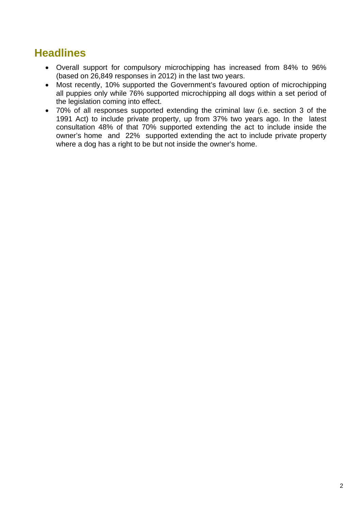## <span id="page-4-0"></span>**Headlines**

- Overall support for compulsory microchipping has increased from 84% to 96% (based on 26,849 responses in 2012) in the last two years.
- Most recently, 10% supported the Government's favoured option of microchipping all puppies only while 76% supported microchipping all dogs within a set period of the legislation coming into effect.
- 70% of all responses supported extending the criminal law (i.e. section 3 of the 1991 Act) to include private property, up from 37% two years ago. In the latest consultation 48% of that 70% supported extending the act to include inside the owner's home and 22% supported extending the act to include private property where a dog has a right to be but not inside the owner's home.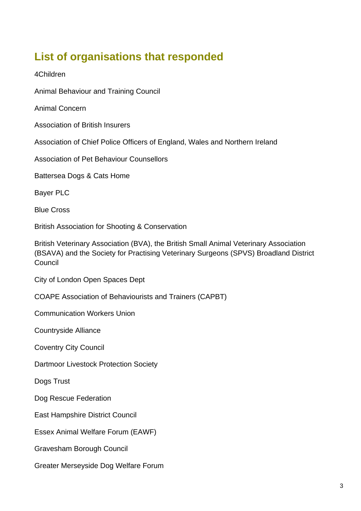## <span id="page-5-0"></span>**List of organisations that responded**

4Children

Animal Behaviour and Training Council

Animal Concern

Association of British Insurers

Association of Chief Police Officers of England, Wales and Northern Ireland

Association of Pet Behaviour Counsellors

Battersea Dogs & Cats Home

Bayer PLC

Blue Cross

British Association for Shooting & Conservation

British Veterinary Association (BVA), the British Small Animal Veterinary Association (BSAVA) and the Society for Practising Veterinary Surgeons (SPVS) Broadland District **Council** 

City of London Open Spaces Dept

COAPE Association of Behaviourists and Trainers (CAPBT)

Communication Workers Union

Countryside Alliance

Coventry City Council

Dartmoor Livestock Protection Society

Dogs Trust

Dog Rescue Federation

East Hampshire District Council

Essex Animal Welfare Forum (EAWF)

Gravesham Borough Council

Greater Merseyside Dog Welfare Forum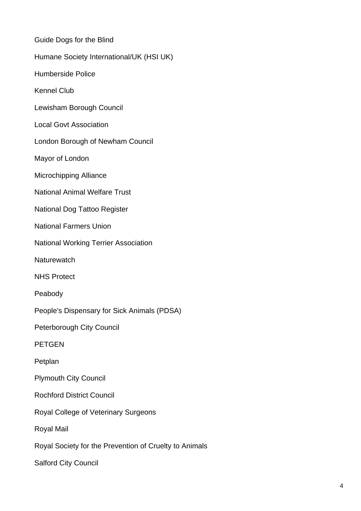| Guide Dogs for the Blind                               |
|--------------------------------------------------------|
| Humane Society International/UK (HSI UK)               |
| <b>Humberside Police</b>                               |
| <b>Kennel Club</b>                                     |
| Lewisham Borough Council                               |
| <b>Local Govt Association</b>                          |
| London Borough of Newham Council                       |
| Mayor of London                                        |
| <b>Microchipping Alliance</b>                          |
| <b>National Animal Welfare Trust</b>                   |
| <b>National Dog Tattoo Register</b>                    |
| <b>National Farmers Union</b>                          |
| <b>National Working Terrier Association</b>            |
| Naturewatch                                            |
| <b>NHS Protect</b>                                     |
| Peabody                                                |
| People's Dispensary for Sick Animals (PDSA)            |
| Peterborough City Council                              |
| <b>PETGEN</b>                                          |
| Petplan                                                |
| <b>Plymouth City Council</b>                           |
| <b>Rochford District Council</b>                       |
| Royal College of Veterinary Surgeons                   |
| <b>Royal Mail</b>                                      |
| Royal Society for the Prevention of Cruelty to Animals |
| <b>Salford City Council</b>                            |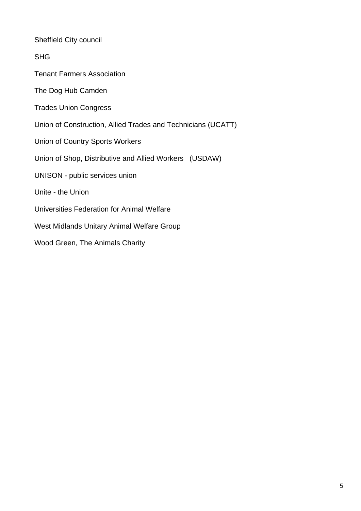Sheffield City council

SHG

Tenant Farmers Association

The Dog Hub Camden

Trades Union Congress

Union of Construction, Allied Trades and Technicians (UCATT)

Union of Country Sports Workers

Union of Shop, Distributive and Allied Workers (USDAW)

UNISON - public services union

Unite - the Union

Universities Federation for Animal Welfare

West Midlands Unitary Animal Welfare Group

Wood Green, The Animals Charity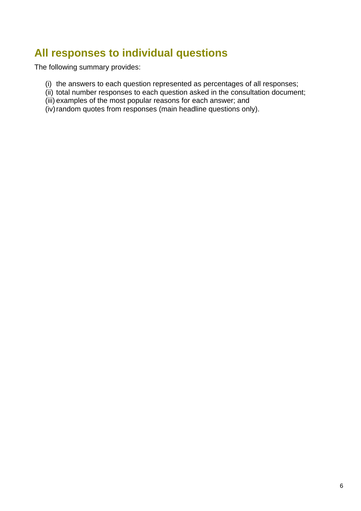## <span id="page-8-0"></span>**All responses to individual questions**

The following summary provides:

- (i) the answers to each question represented as percentages of all responses;
- (ii) total number responses to each question asked in the consultation document;
- (iii) examples of the most popular reasons for each answer; and
- (iv) random quotes from responses (main headline questions only).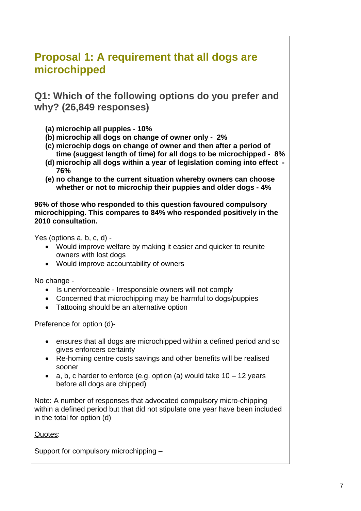## <span id="page-9-0"></span>**Proposal 1: A requirement that all dogs are microchipped**

**Q1: Which of the following options do you prefer and why? (26,849 responses)** 

- **(a) microchip all puppies 10%**
- **(b) microchip all dogs on change of owner only 2%**
- **(c) microchip dogs on change of owner and then after a period of time (suggest length of time) for all dogs to be microchipped - 8%**
- **(d) microchip all dogs within a year of legislation coming into effect 76%**
- **(e) no change to the current situation whereby owners can choose whether or not to microchip their puppies and older dogs - 4%**

**96% of those who responded to this question favoured compulsory microchipping. This compares to 84% who responded positively in the 2010 consultation.** 

Yes (options a, b, c, d) -

- Would improve welfare by making it easier and quicker to reunite owners with lost dogs
- Would improve accountability of owners

No change -

- Is unenforceable Irresponsible owners will not comply
- Concerned that microchipping may be harmful to dogs/puppies
- Tattooing should be an alternative option

Preference for option (d)-

- ensures that all dogs are microchipped within a defined period and so gives enforcers certainty
- Re-homing centre costs savings and other benefits will be realised sooner
- a, b, c harder to enforce (e.g. option (a) would take  $10 12$  years before all dogs are chipped)

Note: A number of responses that advocated compulsory micro-chipping within a defined period but that did not stipulate one year have been included in the total for option (d)

Quotes:

Support for compulsory microchipping –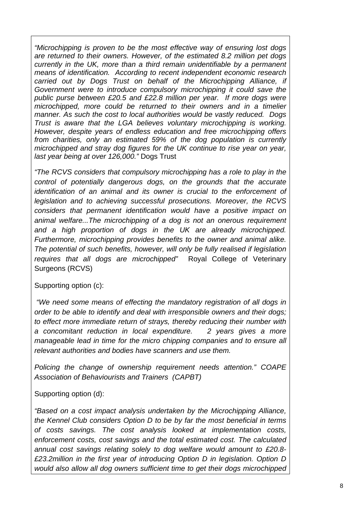*"Microchipping is proven to be the most effective way of ensuring lost dogs are returned to their owners. However, of the estimated 8.2 million pet dogs currently in the UK, more than a third remain unidentifiable by a permanent means of identification. According to recent independent economic research carried out by Dogs Trust on behalf of the Microchipping Alliance, if Government were to introduce compulsory microchipping it could save the public purse between £20.5 and £22.8 million per year. If more dogs were microchipped, more could be returned to their owners and in a timelier manner. As such the cost to local authorities would be vastly reduced. Dogs Trust is aware that the LGA believes voluntary microchipping is working. However, despite years of endless education and free microchipping offers from charities, only an estimated 59% of the dog population is currently microchipped and stray dog figures for the UK continue to rise year on year, last year being at over 126,000."* Dogs Trust

*"The RCVS considers that compulsory microchipping has a role to play in the control of potentially dangerous dogs, on the grounds that the accurate identification of an animal and its owner is crucial to the enforcement of legislation and to achieving successful prosecutions. Moreover, the RCVS considers that permanent identification would have a positive impact on animal welfare...The microchipping of a dog is not an onerous requirement and a high proportion of dogs in the UK are already microchipped. Furthermore, microchipping provides benefits to the owner and animal alike. The potential of such benefits, however, will only be fully realised if legislation requires that all dogs are microchipped"* Royal College of Veterinary Surgeons (RCVS)

#### Supporting option (c):

*"We need some means of effecting the mandatory registration of all dogs in order to be able to identify and deal with irresponsible owners and their dogs; to effect more immediate return of strays, thereby reducing their number with a concomitant reduction in local expenditure. 2 years gives a more manageable lead in time for the micro chipping companies and to ensure all relevant authorities and bodies have scanners and use them.* 

*Policing the change of ownership requirement needs attention." COAPE Association of Behaviourists and Trainers (CAPBT)* 

Supporting option (d):

*"Based on a cost impact analysis undertaken by the Microchipping Alliance, the Kennel Club considers Option D to be by far the most beneficial in terms of costs savings. The cost analysis looked at implementation costs, enforcement costs, cost savings and the total estimated cost. The calculated annual cost savings relating solely to dog welfare would amount to £20.8- £23.2million in the first year of introducing Option D in legislation. Option D would also allow all dog owners sufficient time to get their dogs microchipped*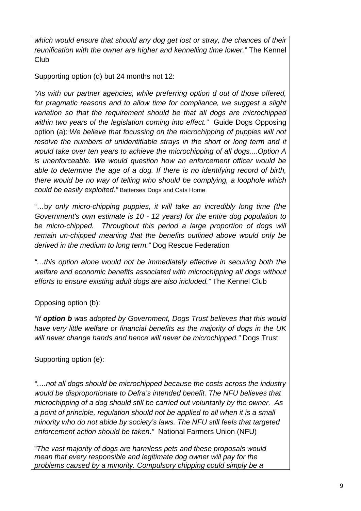*which would ensure that should any dog get lost or stray, the chances of their reunification with the owner are higher and kennelling time lower."* The Kennel Club

Supporting option (d) but 24 months not 12:

*"As with our partner agencies, while preferring option d out of those offered, for pragmatic reasons and to allow time for compliance, we suggest a slight variation so that the requirement should be that all dogs are microchipped within two years of the legislation coming into effect."* Guide Dogs Opposing option (a):"*We believe that focussing on the microchipping of puppies will not resolve the numbers of unidentifiable strays in the short or long term and it would take over ten years to achieve the microchipping of all dogs....Option A is unenforceable. We would question how an enforcement officer would be able to determine the age of a dog. If there is no identifying record of birth, there would be no way of telling who should be complying, a loophole which could be easily exploited."* Battersea Dogs and Cats Home

"…b*y only micro-chipping puppies, it will take an incredibly long time (the Government's own estimate is 10 - 12 years) for the entire dog population to*  be micro-chipped. Throughout this period a large proportion of dogs will *remain un-chipped meaning that the benefits outlined above would only be derived in the medium to long term."* Dog Rescue Federation

*"…this option alone would not be immediately effective in securing both the welfare and economic benefits associated with microchipping all dogs without efforts to ensure existing adult dogs are also included."* The Kennel Club

Opposing option (b):

*"If option b was adopted by Government, Dogs Trust believes that this would have very little welfare or financial benefits as the majority of dogs in the UK will never change hands and hence will never be microchipped."* Dogs Trust

Supporting option (e):

*"….not all dogs should be microchipped because the costs across the industry would be disproportionate to Defra's intended benefit. The NFU believes that microchipping of a dog should still be carried out voluntarily by the owner. As a point of principle, regulation should not be applied to all when it is a small minority who do not abide by society's laws. The NFU still feels that targeted enforcement action should be taken*.*"* National Farmers Union (NFU)

"*The vast majority of dogs are harmless pets and these proposals would mean that every responsible and legitimate dog owner will pay for the problems caused by a minority. Compulsory chipping could simply be a*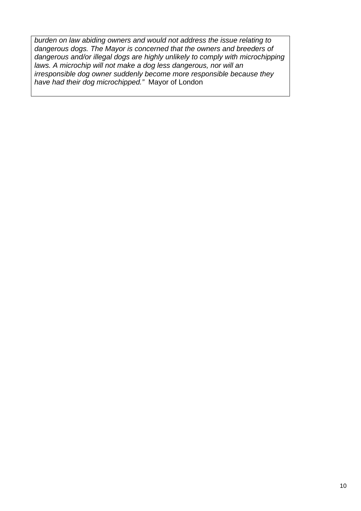*burden on law abiding owners and would not address the issue relating to dangerous dogs. The Mayor is concerned that the owners and breeders of dangerous and/or illegal dogs are highly unlikely to comply with microchipping laws. A microchip will not make a dog less dangerous, nor will an irresponsible dog owner suddenly become more responsible because they have had their dog microchipped."* Mayor of London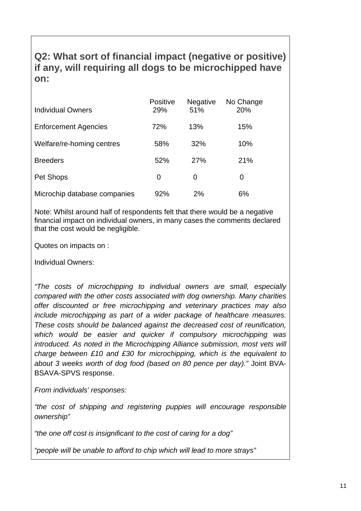### **Q2: What sort of financial impact (negative or positive) if any, will requiring all dogs to be microchipped have on:**

| <b>Individual Owners</b>     | <b>Positive</b><br>29% | <b>Negative</b><br>51% | No Change<br>20% |
|------------------------------|------------------------|------------------------|------------------|
| <b>Enforcement Agencies</b>  | 72%                    | 13%                    | 15%              |
| Welfare/re-homing centres    | 58%                    | 32%                    | 10%              |
| <b>Breeders</b>              | 52%                    | 27%                    | 21%              |
| Pet Shops                    | 0                      | 0                      | 0                |
| Microchip database companies | 92%                    | 2%                     | 6%               |

Note: Whilst around half of respondents felt that there would be a negative financial impact on individual owners, in many cases the comments declared that the cost would be negligible.

Quotes on impacts on :

Individual Owners:

*"The costs of microchipping to individual owners are small, especially compared with the other costs associated with dog ownership. Many charities offer discounted or free microchipping and veterinary practices may also include microchipping as part of a wider package of healthcare measures. These costs should be balanced against the decreased cost of reunification, which would be easier and quicker if compulsory microchipping was introduced. As noted in the Microchipping Alliance submission, most vets will charge between £10 and £30 for microchipping, which is the equivalent to about 3 weeks worth of dog food (based on 80 pence per day)."* Joint BVA-BSAVA-SPVS response.

*From individuals' responses:* 

*"the cost of shipping and registering puppies will encourage responsible ownership"* 

*"the one off cost is insignificant to the cost of caring for a dog"* 

*"people will be unable to afford to chip which will lead to more strays"*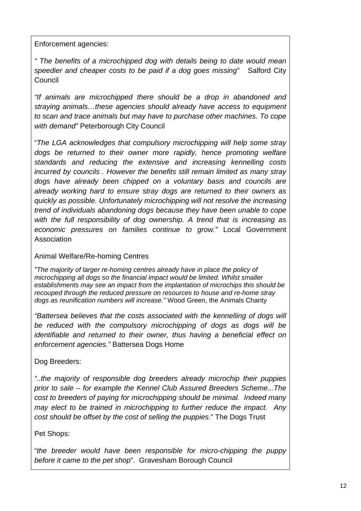Enforcement agencies:

*" The benefits of a microchipped dog with details being to date would mean speedier and cheaper costs to be paid if a dog goes missing"* Salford City **Council** 

*"If animals are microchipped there should be a drop in abandoned and straying animals…these agencies should already have access to equipment to scan and trace animals but may have to purchase other machines. To cope with demand"* Peterborough City Council

"*The LGA acknowledges that compulsory microchipping will help some stray dogs be returned to their owner more rapidly, hence promoting welfare standards and reducing the extensive and increasing kennelling costs incurred by councils . However the benefits still remain limited as many stray dogs have already been chipped on a voluntary basis and councils are already working hard to ensure stray dogs are returned to their owners as quickly as possible. Unfortunately microchipping will not resolve the increasing trend of individuals abandoning dogs because they have been unable to cope with the full responsibility of dog ownership. A trend that is increasing as economic pressures on families continue to grow."* Local Government Association

Animal Welfare/Re-homing Centres

*"The majority of larger re-homing centres already have in place the policy of microchipping all dogs so the financial impact would be limited. Whilst smaller establishments may see an impact from the implantation of microchips this should be recouped through the reduced pressure on resources to house and re-home stray dogs as reunification numbers will increase."* Wood Green, the Animals Charity

*"Battersea believes that the costs associated with the kennelling of dogs will be reduced with the compulsory microchipping of dogs as dogs will be identifiable and returned to their owner, thus having a beneficial effect on enforcement agencies."* Battersea Dogs Home

Dog Breeders:

*"..the majority of responsible dog breeders already microchip their puppies prior to sale – for example the Kennel Club Assured Breeders Scheme...The cost to breeders of paying for microchipping should be minimal. Indeed many may elect to be trained in microchipping to further reduce the impact. Any cost should be offset by the cost of selling the puppies*." The Dogs Trust

#### Pet Shops:

"*the breeder would have been responsible for micro-chipping the puppy before it came to the pet shop*". Gravesham Borough Council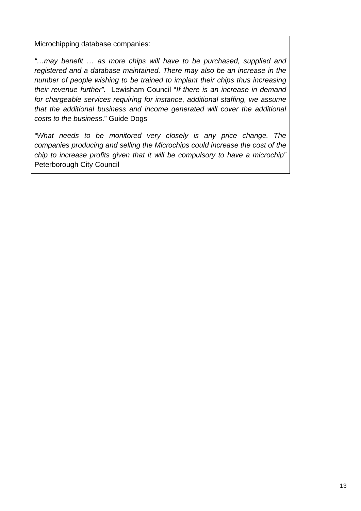Microchipping database companies:

*"…may benefit … as more chips will have to be purchased, supplied and registered and a database maintained. There may also be an increase in the number of people wishing to be trained to implant their chips thus increasing their revenue further".* Lewisham Council "*If there is an increase in demand for chargeable services requiring for instance, additional staffing, we assume that the additional business and income generated will cover the additional costs to the business*." Guide Dogs

*"What needs to be monitored very closely is any price change. The companies producing and selling the Microchips could increase the cost of the chip to increase profits given that it will be compulsory to have a microchip"* Peterborough City Council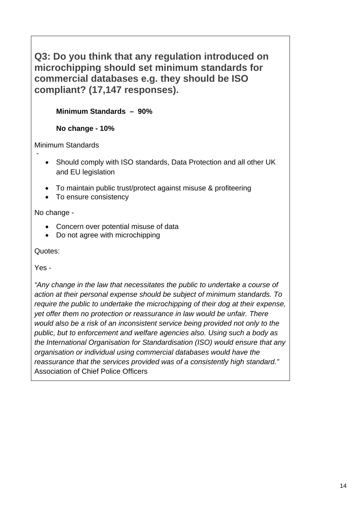### **Q3: Do you think that any regulation introduced on microchipping should set minimum standards for commercial databases e.g. they should be ISO compliant? (17,147 responses).**

**Minimum Standards – 90%** 

**No change - 10%**

Minimum Standards -

- Should comply with ISO standards, Data Protection and all other UK and EU legislation
- To maintain public trust/protect against misuse & profiteering
- To ensure consistency

No change -

- Concern over potential misuse of data
- Do not agree with microchipping

Quotes:

Yes -

*"Any change in the law that necessitates the public to undertake a course of action at their personal expense should be subject of minimum standards. To require the public to undertake the microchipping of their dog at their expense, yet offer them no protection or reassurance in law would be unfair. There would also be a risk of an inconsistent service being provided not only to the public, but to enforcement and welfare agencies also. Using such a body as the International Organisation for Standardisation (ISO) would ensure that any organisation or individual using commercial databases would have the reassurance that the services provided was of a consistently high standard."*  Association of Chief Police Officers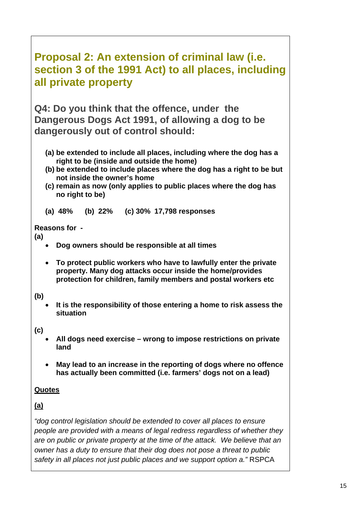## <span id="page-17-0"></span>**Proposal 2: An extension of criminal law (i.e. section 3 of the 1991 Act) to all places, including all private property**

**Q4: Do you think that the offence, under the Dangerous Dogs Act 1991, of allowing a dog to be dangerously out of control should:** 

- **(a) be extended to include all places, including where the dog has a right to be (inside and outside the home)**
- **(b) be extended to include places where the dog has a right to be but not inside the owner's home**
- **(c) remain as now (only applies to public places where the dog has no right to be)**

**(a) 48% (b) 22% (c) 30% 17,798 responses** 

#### **Reasons for -**

**(a)** 

- **Dog owners should be responsible at all times**
- **To protect public workers who have to lawfully enter the private property. Many dog attacks occur inside the home/provides protection for children, family members and postal workers etc**

### **(b)**

• **It is the responsibility of those entering a home to risk assess the situation** 

### **(c)**

- **All dogs need exercise wrong to impose restrictions on private land**
- **May lead to an increase in the reporting of dogs where no offence has actually been committed (i.e. farmers' dogs not on a lead)**

### **Quotes**

### **(a)**

*"dog control legislation should be extended to cover all places to ensure people are provided with a means of legal redress regardless of whether they are on public or private property at the time of the attack. We believe that an owner has a duty to ensure that their dog does not pose a threat to public safety in all places not just public places and we support option a."* RSPCA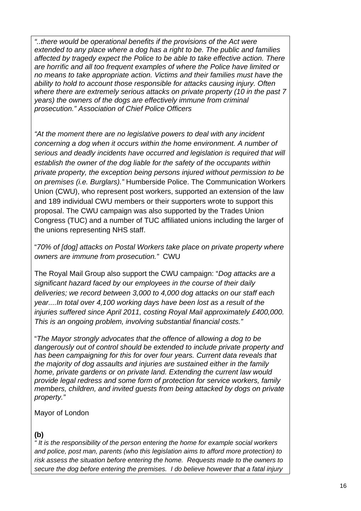*"..there would be operational benefits if the provisions of the Act were extended to any place where a dog has a right to be. The public and families affected by tragedy expect the Police to be able to take effective action. There are horrific and all too frequent examples of where the Police have limited or no means to take appropriate action. Victims and their families must have the ability to hold to account those responsible for attacks causing injury. Often where there are extremely serious attacks on private property (10 in the past 7 years) the owners of the dogs are effectively immune from criminal prosecution." Association of Chief Police Officers*

*"At the moment there are no legislative powers to deal with any incident concerning a dog when it occurs within the home environment. A number of serious and deadly incidents have occurred and legislation is required that will establish the owner of the dog liable for the safety of the occupants within private property, the exception being persons injured without permission to be on premises (i.e. Burglars)."* Humberside Police. The Communication Workers Union (CWU), who represent post workers, supported an extension of the law and 189 individual CWU members or their supporters wrote to support this proposal. The CWU campaign was also supported by the Trades Union Congress (TUC) and a number of TUC affiliated unions including the larger of the unions representing NHS staff.

"*70% of [dog] attacks on Postal Workers take place on private property where owners are immune from prosecution."* CWU

The Royal Mail Group also support the CWU campaign: "*Dog attacks are a significant hazard faced by our employees in the course of their daily deliveries; we record between 3,000 to 4,000 dog attacks on our staff each year....In total over 4,100 working days have been lost as a result of the injuries suffered since April 2011, costing Royal Mail approximately £400,000. This is an ongoing problem, involving substantial financial costs."*

"*The Mayor strongly advocates that the offence of allowing a dog to be dangerously out of control should be extended to include private property and has been campaigning for this for over four years. Current data reveals that the majority of dog assaults and injuries are sustained either in the family home, private gardens or on private land. Extending the current law would provide legal redress and some form of protection for service workers, family members, children, and invited guests from being attacked by dogs on private property."*

#### Mayor of London

### **(b)**

*" It is the responsibility of the person entering the home for example social workers and police, post man, parents (who this legislation aims to afford more protection) to risk assess the situation before entering the home. Requests made to the owners to secure the dog before entering the premises. I do believe however that a fatal injury*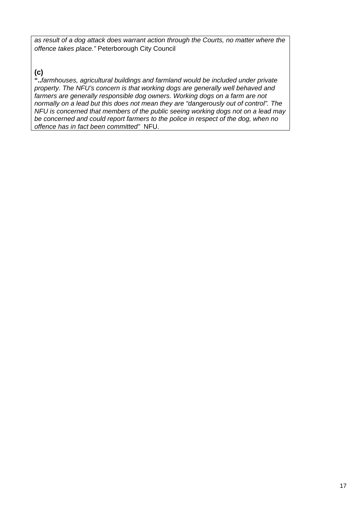*as result of a dog attack does warrant action through the Courts, no matter where the offence takes place."* Peterborough City Council

### **(c)**

**"..***farmhouses, agricultural buildings and farmland would be included under private property. The NFU's concern is that working dogs are generally well behaved and farmers are generally responsible dog owners. Working dogs on a farm are not normally on a lead but this does not mean they are "dangerously out of control". The NFU is concerned that members of the public seeing working dogs not on a lead may be concerned and could report farmers to the police in respect of the dog, when no offence has in fact been committed"*NFU.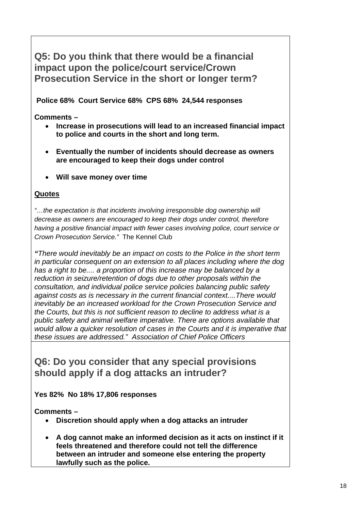**Q5: Do you think that there would be a financial impact upon the police/court service/Crown Prosecution Service in the short or longer term?** 

 **Police 68% Court Service 68% CPS 68% 24,544 responses** 

**Comments –** 

- **Increase in prosecutions will lead to an increased financial impact to police and courts in the short and long term.**
- **Eventually the number of incidents should decrease as owners are encouraged to keep their dogs under control**
- **Will save money over time**

#### **Quotes**

*"…the expectation is that incidents involving irresponsible dog ownership will decrease as owners are encouraged to keep their dogs under control, therefore having a positive financial impact with fewer cases involving police, court service or Crown Prosecution Service."*The Kennel Club

*"There would inevitably be an impact on costs to the Police in the short term in particular consequent on an extension to all places including where the dog has a right to be.... a proportion of this increase may be balanced by a reduction in seizure/retention of dogs due to other proposals within the consultation, and individual police service policies balancing public safety against costs as is necessary in the current financial context....There would inevitably be an increased workload for the Crown Prosecution Service and the Courts, but this is not sufficient reason to decline to address what is a public safety and animal welfare imperative. There are options available that would allow a quicker resolution of cases in the Courts and it is imperative that these issues are addressed." Association of Chief Police Officers*

### **Q6: Do you consider that any special provisions should apply if a dog attacks an intruder?**

**Yes 82% No 18% 17,806 responses** 

**Comments –** 

- **Discretion should apply when a dog attacks an intruder**
- **A dog cannot make an informed decision as it acts on instinct if it feels threatened and therefore could not tell the difference between an intruder and someone else entering the property lawfully such as the police.**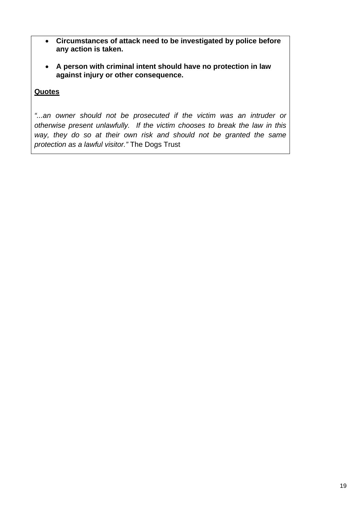- **Circumstances of attack need to be investigated by police before any action is taken.**
- **A person with criminal intent should have no protection in law against injury or other consequence.**

#### **Quotes**

*"...an owner should not be prosecuted if the victim was an intruder or otherwise present unlawfully. If the victim chooses to break the law in this way, they do so at their own risk and should not be granted the same protection as a lawful visitor."* The Dogs Trust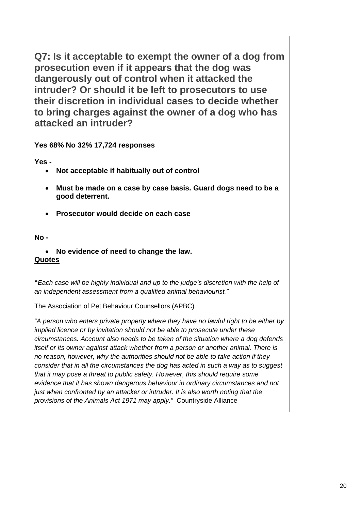**Q7: Is it acceptable to exempt the owner of a dog from prosecution even if it appears that the dog was dangerously out of control when it attacked the intruder? Or should it be left to prosecutors to use their discretion in individual cases to decide whether to bring charges against the owner of a dog who has attacked an intruder?** 

**Yes 68% No 32% 17,724 responses** 

**Yes -** 

- **Not acceptable if habitually out of control**
- **Must be made on a case by case basis. Guard dogs need to be a good deterrent.**
- **Prosecutor would decide on each case**

**No -** 

• **No evidence of need to change the law. Quotes**

**"***Each case will be highly individual and up to the judge's discretion with the help of an independent assessment from a qualified animal behaviourist."*

The Association of Pet Behaviour Counsellors (APBC)

*"A person who enters private property where they have no lawful right to be either by implied licence or by invitation should not be able to prosecute under these circumstances. Account also needs to be taken of the situation where a dog defends itself or its owner against attack whether from a person or another animal. There is no reason, however, why the authorities should not be able to take action if they consider that in all the circumstances the dog has acted in such a way as to suggest that it may pose a threat to public safety. However, this should require some evidence that it has shown dangerous behaviour in ordinary circumstances and not just when confronted by an attacker or intruder. It is also worth noting that the provisions of the Animals Act 1971 may apply."*Countryside Alliance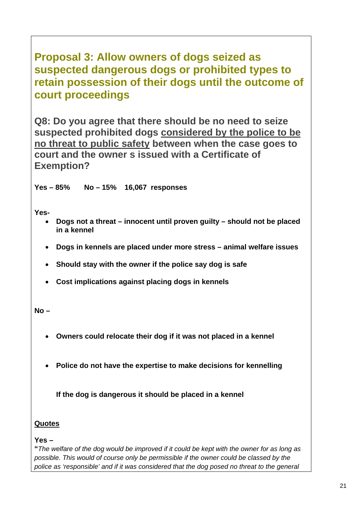## <span id="page-23-0"></span>**Proposal 3: Allow owners of dogs seized as suspected dangerous dogs or prohibited types to retain possession of their dogs until the outcome of court proceedings**

**Q8: Do you agree that there should be no need to seize suspected prohibited dogs considered by the police to be no threat to public safety between when the case goes to court and the owner s issued with a Certificate of Exemption?** 

**Yes – 85% No – 15% 16,067 responses** 

**Yes-** 

- **Dogs not a threat innocent until proven guilty should not be placed in a kennel**
- **Dogs in kennels are placed under more stress animal welfare issues**
- **Should stay with the owner if the police say dog is safe**
- **Cost implications against placing dogs in kennels**

**No –** 

- **Owners could relocate their dog if it was not placed in a kennel**
- **Police do not have the expertise to make decisions for kennelling**

**If the dog is dangerous it should be placed in a kennel** 

#### **Quotes**

**Yes –** 

**"***The welfare of the dog would be improved if it could be kept with the owner for as long as possible. This would of course only be permissible if the owner could be classed by the police as 'responsible' and if it was considered that the dog posed no threat to the general*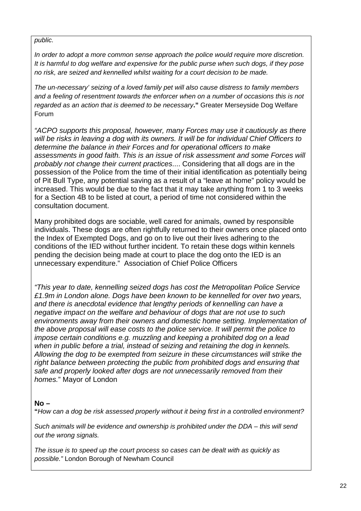#### *public.*

*In order to adopt a more common sense approach the police would require more discretion. It is harmful to dog welfare and expensive for the public purse when such dogs, if they pose no risk, are seized and kennelled whilst waiting for a court decision to be made.* 

*The un-necessary' seizing of a loved family pet will also cause distress to family members and a feeling of resentment towards the enforcer when on a number of occasions this is not regarded as an action that is deemed to be necessary***."** Greater Merseyside Dog Welfare Forum

*"ACPO supports this proposal, however, many Forces may use it cautiously as there will be risks in leaving a dog with its owners. It will be for individual Chief Officers to determine the balance in their Forces and for operational officers to make assessments in good faith. This is an issue of risk assessment and some Forces will probably not change their current practices*.... Considering that all dogs are in the possession of the Police from the time of their initial identification as potentially being of Pit Bull Type, any potential saving as a result of a "leave at home" policy would be increased. This would be due to the fact that it may take anything from 1 to 3 weeks for a Section 4B to be listed at court, a period of time not considered within the consultation document.

Many prohibited dogs are sociable, well cared for animals, owned by responsible individuals. These dogs are often rightfully returned to their owners once placed onto the Index of Exempted Dogs, and go on to live out their lives adhering to the conditions of the IED without further incident. To retain these dogs within kennels pending the decision being made at court to place the dog onto the IED is an unnecessary expenditure." Association of Chief Police Officers

*"This year to date, kennelling seized dogs has cost the Metropolitan Police Service £1.9m in London alone. Dogs have been known to be kennelled for over two years, and there is anecdotal evidence that lengthy periods of kennelling can have a negative impact on the welfare and behaviour of dogs that are not use to such environments away from their owners and domestic home setting. Implementation of the above proposal will ease costs to the police service. It will permit the police to impose certain conditions e.g. muzzling and keeping a prohibited dog on a lead when in public before a trial, instead of seizing and retaining the dog in kennels. Allowing the dog to be exempted from seizure in these circumstances will strike the right balance between protecting the public from prohibited dogs and ensuring that safe and properly looked after dogs are not unnecessarily removed from their homes.*" Mayor of London

#### **No –**

**"***How can a dog be risk assessed properly without it being first in a controlled environment?* 

*Such animals will be evidence and ownership is prohibited under the DDA – this will send out the wrong signals.* 

*The issue is to speed up the court process so cases can be dealt with as quickly as possible."* London Borough of Newham Council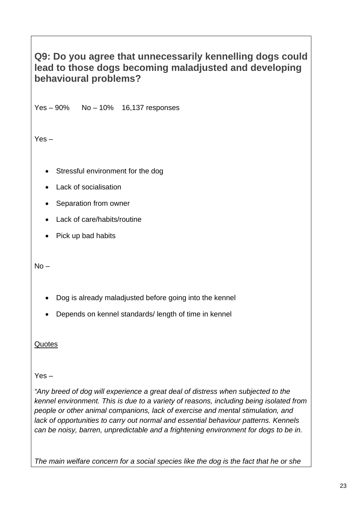### **Q9: Do you agree that unnecessarily kennelling dogs could lead to those dogs becoming maladjusted and developing behavioural problems?**

Yes – 90% No – 10% 16,137 responses

Yes –

- Stressful environment for the dog
- Lack of socialisation
- Separation from owner
- Lack of care/habits/routine
- Pick up bad habits

 $No -$ 

- Dog is already maladjusted before going into the kennel
- Depends on kennel standards/ length of time in kennel

**Quotes** 

Yes –

"Any breed of dog will experience a great deal of distress when subjected to the *kennel environment. This is due to a variety of reasons, including being isolated from people or other animal companions, lack of exercise and mental stimulation, and lack of opportunities to carry out normal and essential behaviour patterns. Kennels can be noisy, barren, unpredictable and a frightening environment for dogs to be in.* 

*The main welfare concern for a social species like the dog is the fact that he or she*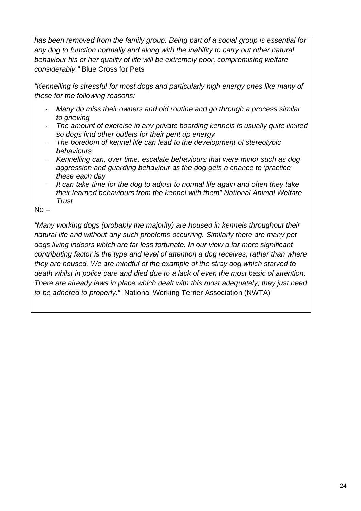*has been removed from the family group. Being part of a social group is essential for any dog to function normally and along with the inability to carry out other natural behaviour his or her quality of life will be extremely poor, compromising welfare considerably."* Blue Cross for Pets

*"Kennelling is stressful for most dogs and particularly high energy ones like many of these for the following reasons:* 

- *Many do miss their owners and old routine and go through a process similar to grieving*
- *The amount of exercise in any private boarding kennels is usually quite limited so dogs find other outlets for their pent up energy*
- *The boredom of kennel life can lead to the development of stereotypic behaviours*
- *Kennelling can, over time, escalate behaviours that were minor such as dog aggression and guarding behaviour as the dog gets a chance to 'practice' these each day*
- *It can take time for the dog to adjust to normal life again and often they take their learned behaviours from the kennel with them" National Animal Welfare Trust*

 $No -$ 

*"Many working dogs (probably the majority) are housed in kennels throughout their natural life and without any such problems occurring. Similarly there are many pet dogs living indoors which are far less fortunate. In our view a far more significant contributing factor is the type and level of attention a dog receives, rather than where they are housed. We are mindful of the example of the stray dog which starved to death whilst in police care and died due to a lack of even the most basic of attention. There are already laws in place which dealt with this most adequately; they just need to be adhered to properly."* National Working Terrier Association (NWTA)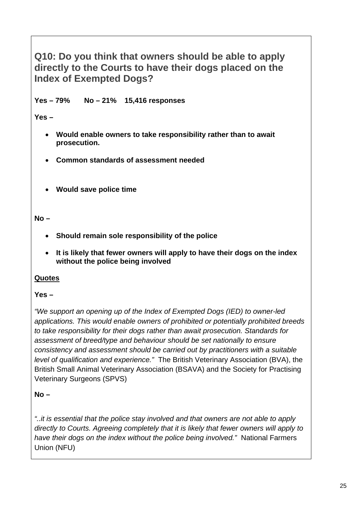**Q10: Do you think that owners should be able to apply directly to the Courts to have their dogs placed on the Index of Exempted Dogs?** 

**Yes – 79% No – 21% 15,416 responses** 

**Yes –** 

- **Would enable owners to take responsibility rather than to await prosecution.**
- **Common standards of assessment needed**
- **Would save police time**

**No –** 

- **Should remain sole responsibility of the police**
- **It is likely that fewer owners will apply to have their dogs on the index without the police being involved**

### **Quotes**

### **Yes –**

*"We support an opening up of the Index of Exempted Dogs (IED) to owner-led applications. This would enable owners of prohibited or potentially prohibited breeds to take responsibility for their dogs rather than await prosecution. Standards for assessment of breed/type and behaviour should be set nationally to ensure consistency and assessment should be carried out by practitioners with a suitable level of qualification and experience."*The British Veterinary Association (BVA), the British Small Animal Veterinary Association (BSAVA) and the Society for Practising Veterinary Surgeons (SPVS)

**No –** 

*"..it is essential that the police stay involved and that owners are not able to apply directly to Courts. Agreeing completely that it is likely that fewer owners will apply to have their dogs on the index without the police being involved."* National Farmers Union (NFU)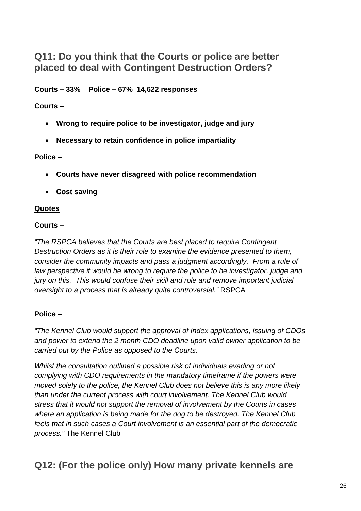### **Q11: Do you think that the Courts or police are better placed to deal with Contingent Destruction Orders?**

**Courts – 33% Police – 67% 14,622 responses** 

**Courts –** 

- **Wrong to require police to be investigator, judge and jury**
- **Necessary to retain confidence in police impartiality**

#### **Police –**

- **Courts have never disagreed with police recommendation**
- **Cost saving**

#### **Quotes**

#### **Courts –**

*"The RSPCA believes that the Courts are best placed to require Contingent Destruction Orders as it is their role to examine the evidence presented to them, consider the community impacts and pass a judgment accordingly. From a rule of law perspective it would be wrong to require the police to be investigator, judge and jury on this. This would confuse their skill and role and remove important judicial oversight to a process that is already quite controversial."* RSPCA

### **Police –**

*"The Kennel Club would support the approval of Index applications, issuing of CDOs and power to extend the 2 month CDO deadline upon valid owner application to be carried out by the Police as opposed to the Courts.* 

*Whilst the consultation outlined a possible risk of individuals evading or not complying with CDO requirements in the mandatory timeframe if the powers were moved solely to the police, the Kennel Club does not believe this is any more likely than under the current process with court involvement. The Kennel Club would stress that it would not support the removal of involvement by the Courts in cases where an application is being made for the dog to be destroyed. The Kennel Club feels that in such cases a Court involvement is an essential part of the democratic process."* The Kennel Club

### **Q12: (For the police only) How many private kennels are**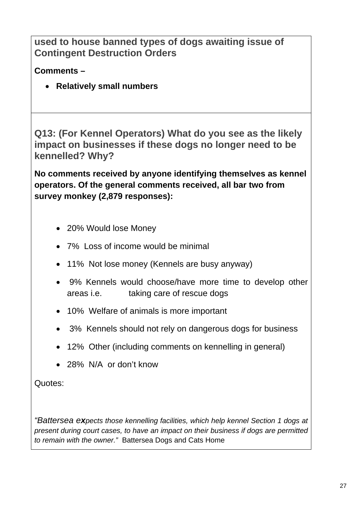**used to house banned types of dogs awaiting issue of Contingent Destruction Orders** 

**Comments –** 

• **Relatively small numbers** 

**Q13: (For Kennel Operators) What do you see as the likely impact on businesses if these dogs no longer need to be kennelled? Why?** 

**No comments received by anyone identifying themselves as kennel operators. Of the general comments received, all bar two from survey monkey (2,879 responses):** 

- 20% Would lose Money
- 7% Loss of income would be minimal
- 11% Not lose money (Kennels are busy anyway)
- 9% Kennels would choose/have more time to develop other areas i.e. taking care of rescue dogs
- 10% Welfare of animals is more important
- 3% Kennels should not rely on dangerous dogs for business
- 12% Other (including comments on kennelling in general)
- 28% N/A or don't know

Quotes:

*"Battersea expects those kennelling facilities, which help kennel Section 1 dogs at present during court cases, to have an impact on their business if dogs are permitted to remain with the owner."* Battersea Dogs and Cats Home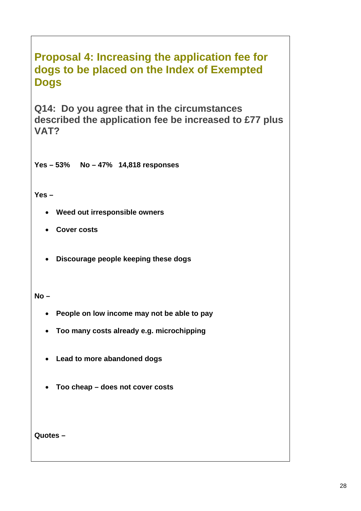## <span id="page-30-0"></span>**Proposal 4: Increasing the application fee for dogs to be placed on the Index of Exempted Dogs**

**Q14: Do you agree that in the circumstances described the application fee be increased to £77 plus VAT?** 

**Yes – 53% No – 47% 14,818 responses** 

**Yes –** 

- **Weed out irresponsible owners**
- **Cover costs**
- **Discourage people keeping these dogs**

**No –** 

- **People on low income may not be able to pay**
- **Too many costs already e.g. microchipping**
- **Lead to more abandoned dogs**
- **Too cheap does not cover costs**

**Quotes –**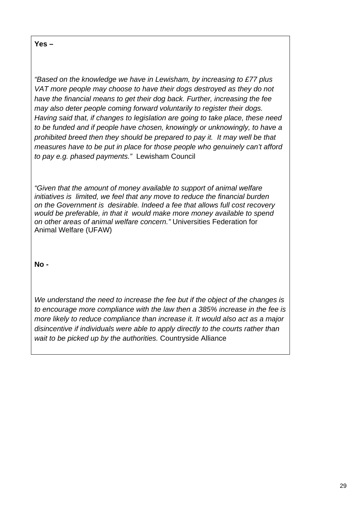**Yes –** 

*"Based on the knowledge we have in Lewisham, by increasing to £77 plus VAT more people may choose to have their dogs destroyed as they do not have the financial means to get their dog back. Further, increasing the fee may also deter people coming forward voluntarily to register their dogs. Having said that, if changes to legislation are going to take place, these need to be funded and if people have chosen, knowingly or unknowingly, to have a prohibited breed then they should be prepared to pay it. It may well be that measures have to be put in place for those people who genuinely can't afford to pay e.g. phased payments."* Lewisham Council

*"Given that the amount of money available to support of animal welfare initiatives is limited, we feel that any move to reduce the financial burden on the Government is desirable. Indeed a fee that allows full cost recovery would be preferable, in that it would make more money available to spend on other areas of animal welfare concern."* Universities Federation for Animal Welfare (UFAW)

**No -** 

*We understand the need to increase the fee but if the object of the changes is to encourage more compliance with the law then a 385% increase in the fee is more likely to reduce compliance than increase it. It would also act as a major disincentive if individuals were able to apply directly to the courts rather than wait to be picked up by the authorities.* Countryside Alliance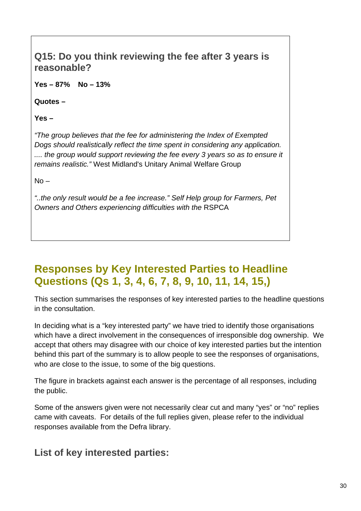### <span id="page-32-0"></span>**Q15: Do you think reviewing the fee after 3 years is reasonable?**

**Yes – 87% No – 13%** 

**Quotes –** 

**Yes –** 

*"The group believes that the fee for administering the Index of Exempted Dogs should realistically reflect the time spent in considering any application.*  .... the group would support reviewing the fee every 3 years so as to ensure it *remains realistic."* West Midland's Unitary Animal Welfare Group

 $No -$ 

*"..the only result would be a fee increase." Self Help group for Farmers, Pet Owners and Others experiencing difficulties with the* RSPCA

## **Responses by Key Interested Parties to Headline Questions (Qs 1, 3, 4, 6, 7, 8, 9, 10, 11, 14, 15,)**

This section summarises the responses of key interested parties to the headline questions in the consultation.

In deciding what is a "key interested party" we have tried to identify those organisations which have a direct involvement in the consequences of irresponsible dog ownership. We accept that others may disagree with our choice of key interested parties but the intention behind this part of the summary is to allow people to see the responses of organisations, who are close to the issue, to some of the big questions.

The figure in brackets against each answer is the percentage of all responses, including the public.

Some of the answers given were not necessarily clear cut and many "yes" or "no" replies came with caveats. For details of the full replies given, please refer to the individual responses available from the Defra library.

**List of key interested parties:**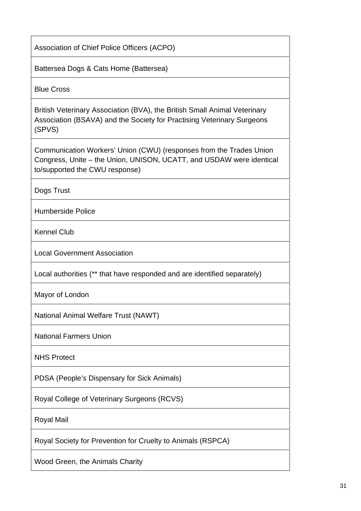Association of Chief Police Officers (ACPO)

Battersea Dogs & Cats Home (Battersea)

Blue Cross

British Veterinary Association (BVA), the British Small Animal Veterinary Association (BSAVA) and the Society for Practising Veterinary Surgeons (SPVS)

Communication Workers' Union (CWU) (responses from the Trades Union Congress, Unite – the Union, UNISON, UCATT, and USDAW were identical to/supported the CWU response)

Dogs Trust

Humberside Police

Kennel Club

Local Government Association

Local authorities (\*\* that have responded and are identified separately)

Mayor of London

National Animal Welfare Trust (NAWT)

National Farmers Union

NHS Protect

PDSA (People's Dispensary for Sick Animals)

Royal College of Veterinary Surgeons (RCVS)

Royal Mail

Royal Society for Prevention for Cruelty to Animals (RSPCA)

Wood Green, the Animals Charity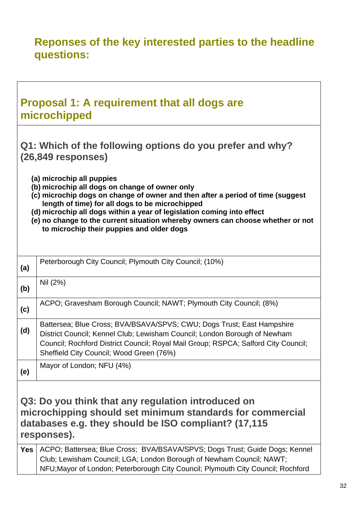## <span id="page-34-0"></span>**Reponses of the key interested parties to the headline questions:**

|            | <b>Proposal 1: A requirement that all dogs are</b><br>microchipped                                                                                                                                                                                                                                                                                                                                                         |
|------------|----------------------------------------------------------------------------------------------------------------------------------------------------------------------------------------------------------------------------------------------------------------------------------------------------------------------------------------------------------------------------------------------------------------------------|
|            | Q1: Which of the following options do you prefer and why?<br>$(26,849$ responses)                                                                                                                                                                                                                                                                                                                                          |
|            | (a) microchip all puppies<br>(b) microchip all dogs on change of owner only<br>(c) microchip dogs on change of owner and then after a period of time (suggest<br>length of time) for all dogs to be microchipped<br>(d) microchip all dogs within a year of legislation coming into effect<br>(e) no change to the current situation whereby owners can choose whether or not<br>to microchip their puppies and older dogs |
| (a)        | Peterborough City Council; Plymouth City Council; (10%)                                                                                                                                                                                                                                                                                                                                                                    |
| (b)        | Nil (2%)                                                                                                                                                                                                                                                                                                                                                                                                                   |
| (c)        | ACPO; Gravesham Borough Council; NAWT; Plymouth City Council; (8%)                                                                                                                                                                                                                                                                                                                                                         |
| (d)        | Battersea; Blue Cross; BVA/BSAVA/SPVS; CWU; Dogs Trust; East Hampshire<br>District Council; Kennel Club; Lewisham Council; London Borough of Newham<br>Council; Rochford District Council; Royal Mail Group; RSPCA; Salford City Council;<br>Sheffield City Council; Wood Green (76%)                                                                                                                                      |
| (e)        | Mayor of London; NFU (4%)                                                                                                                                                                                                                                                                                                                                                                                                  |
|            | Q3: Do you think that any regulation introduced on<br>microchipping should set minimum standards for commercial<br>databases e.g. they should be ISO compliant? (17,115<br>responses).                                                                                                                                                                                                                                     |
| <b>Yes</b> | ACPO; Battersea; Blue Cross; BVA/BSAVA/SPVS; Dogs Trust; Guide Dogs; Kennel<br>Club; Lewisham Council; LGA; London Borough of Newham Council; NAWT;<br>NFU; Mayor of London; Peterborough City Council; Plymouth City Council; Rochford                                                                                                                                                                                    |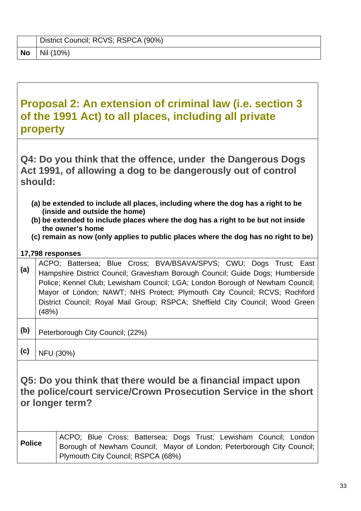<span id="page-35-0"></span>

|    | District Council; RCVS; RSPCA (90%) |
|----|-------------------------------------|
| No | $\vert$ Nil (10%)                   |

## **Proposal 2: An extension of criminal law (i.e. section 3 of the 1991 Act) to all places, including all private property**

**Q4: Do you think that the offence, under the Dangerous Dogs Act 1991, of allowing a dog to be dangerously out of control should:** 

- **(a) be extended to include all places, including where the dog has a right to be (inside and outside the home)**
- **(b) be extended to include places where the dog has a right to be but not inside the owner's home**
- **(c) remain as now (only applies to public places where the dog has no right to be)**

#### **17,798 responses**

- **(a)** ACPO; Battersea; Blue Cross; BVA/BSAVA/SPVS; CWU; Dogs Trust; East **(a)** Liampphine District Council: Crowsham Persuah Council: Cuide Deggy Uumberside Hampshire District Council; Gravesham Borough Council; Guide Dogs; Humberside Police; Kennel Club; Lewisham Council; LGA; London Borough of Newham Council; Mayor of London; NAWT; NHS Protect; Plymouth City Council; RCVS; Rochford District Council; Royal Mail Group; RSPCA; Sheffield City Council; Wood Green (48%)
- **(b)** Peterborough City Council; (22%)
- $(c)$  NFU (30%)

**Q5: Do you think that there would be a financial impact upon the police/court service/Crown Prosecution Service in the short or longer term?** 

**Police ACPO**; Blue Cross; Battersea; Dogs Trust; Lewisham Council; London Borough of Newham Council; Mayor of London; Peterborough City Council; Plymouth City Council; RSPCA (68%)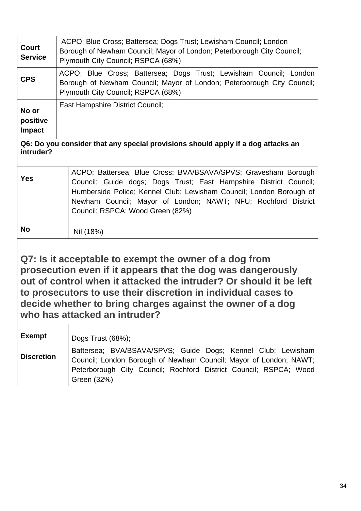| <b>Court</b><br><b>Service</b>                                                                                                                                                                                                                                                                                                                              | ACPO; Blue Cross; Battersea; Dogs Trust; Lewisham Council; London<br>Borough of Newham Council; Mayor of London; Peterborough City Council;<br>Plymouth City Council; RSPCA (68%)                                                                                                                               |  |  |
|-------------------------------------------------------------------------------------------------------------------------------------------------------------------------------------------------------------------------------------------------------------------------------------------------------------------------------------------------------------|-----------------------------------------------------------------------------------------------------------------------------------------------------------------------------------------------------------------------------------------------------------------------------------------------------------------|--|--|
| <b>CPS</b>                                                                                                                                                                                                                                                                                                                                                  | ACPO; Blue Cross; Battersea; Dogs Trust; Lewisham Council; London<br>Borough of Newham Council; Mayor of London; Peterborough City Council;<br>Plymouth City Council; RSPCA (68%)                                                                                                                               |  |  |
| No or<br>positive<br><b>Impact</b>                                                                                                                                                                                                                                                                                                                          | <b>East Hampshire District Council;</b>                                                                                                                                                                                                                                                                         |  |  |
| intruder?                                                                                                                                                                                                                                                                                                                                                   | Q6: Do you consider that any special provisions should apply if a dog attacks an                                                                                                                                                                                                                                |  |  |
| <b>Yes</b>                                                                                                                                                                                                                                                                                                                                                  | ACPO; Battersea; Blue Cross; BVA/BSAVA/SPVS; Gravesham Borough<br>Council; Guide dogs; Dogs Trust; East Hampshire District Council;<br>Humberside Police; Kennel Club; Lewisham Council; London Borough of<br>Newham Council; Mayor of London; NAWT; NFU; Rochford District<br>Council; RSPCA; Wood Green (82%) |  |  |
| <b>No</b>                                                                                                                                                                                                                                                                                                                                                   | Nil (18%)                                                                                                                                                                                                                                                                                                       |  |  |
| Q7: Is it acceptable to exempt the owner of a dog from<br>prosecution even if it appears that the dog was dangerously<br>out of control when it attacked the intruder? Or should it be left<br>to prosecutors to use their discretion in individual cases to<br>decide whether to bring charges against the owner of a dog<br>who has attacked an intruder? |                                                                                                                                                                                                                                                                                                                 |  |  |
| <b>Exempt</b>                                                                                                                                                                                                                                                                                                                                               | Dogs Trust (68%);                                                                                                                                                                                                                                                                                               |  |  |
| <b>Discretion</b>                                                                                                                                                                                                                                                                                                                                           | Battersea; BVA/BSAVA/SPVS; Guide Dogs; Kennel Club; Lewisham<br>Council; London Borough of Newham Council; Mayor of London; NAWT;<br>Peterborough City Council; Rochford District Council; RSPCA; Wood<br>Green (32%)                                                                                           |  |  |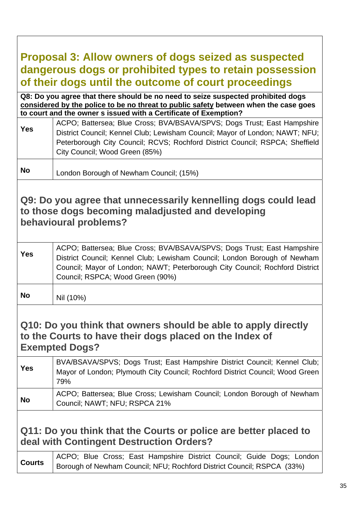## <span id="page-37-0"></span>**Proposal 3: Allow owners of dogs seized as suspected dangerous dogs or prohibited types to retain possession of their dogs until the outcome of court proceedings**

**Q8: Do you agree that there should be no need to seize suspected prohibited dogs considered by the police to be no threat to public safety between when the case goes to court and the owner s issued with a Certificate of Exemption?** 

| <b>Yes</b> | ACPO; Battersea; Blue Cross; BVA/BSAVA/SPVS; Dogs Trust; East Hampshire<br>District Council; Kennel Club; Lewisham Council; Mayor of London; NAWT; NFU; |
|------------|---------------------------------------------------------------------------------------------------------------------------------------------------------|
|            | Peterborough City Council; RCVS; Rochford District Council; RSPCA; Sheffield<br>City Council; Wood Green (85%)                                          |

**No** London Borough of Newham Council; (15%)

### **Q9: Do you agree that unnecessarily kennelling dogs could lead to those dogs becoming maladjusted and developing behavioural problems?**

| <b>Yes</b> | ACPO; Battersea; Blue Cross; BVA/BSAVA/SPVS; Dogs Trust; East Hampshire<br>District Council; Kennel Club; Lewisham Council; London Borough of Newham<br>Council; Mayor of London; NAWT; Peterborough City Council; Rochford District<br>Council; RSPCA; Wood Green (90%) |
|------------|--------------------------------------------------------------------------------------------------------------------------------------------------------------------------------------------------------------------------------------------------------------------------|
|            |                                                                                                                                                                                                                                                                          |

**No**  $\vert$  Nil (10%)

### **Q10: Do you think that owners should be able to apply directly to the Courts to have their dogs placed on the Index of Exempted Dogs?**

| <b>Yes</b> | BVA/BSAVA/SPVS; Dogs Trust; East Hampshire District Council; Kennel Club;<br>Mayor of London; Plymouth City Council; Rochford District Council; Wood Green<br>79% |
|------------|-------------------------------------------------------------------------------------------------------------------------------------------------------------------|
| <b>No</b>  | ACPO; Battersea; Blue Cross; Lewisham Council; London Borough of Newham<br>Council; NAWT; NFU; RSPCA 21%                                                          |

### **Q11: Do you think that the Courts or police are better placed to deal with Contingent Destruction Orders?**

**Courts** ACPO; Blue Cross; East Hampshire District Council; Guide Dogs; London Counts Borough of Newham Council; NFU; Rochford District Council; RSPCA (33%)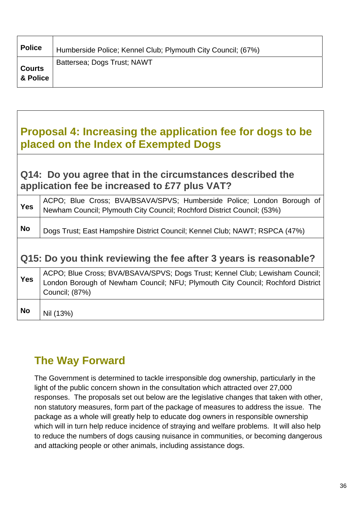<span id="page-38-0"></span>

| <b>Police</b>             | Humberside Police; Kennel Club; Plymouth City Council; (67%) |
|---------------------------|--------------------------------------------------------------|
| <b>Courts</b><br>& Police | Battersea; Dogs Trust; NAWT                                  |

## **Proposal 4: Increasing the application fee for dogs to be placed on the Index of Exempted Dogs**

### **Q14: Do you agree that in the circumstances described the application fee be increased to £77 plus VAT?**

| <b>Yes</b> | ACPO; Blue Cross; BVA/BSAVA/SPVS; Humberside Police; London Borough of<br>Newham Council; Plymouth City Council; Rochford District Council; (53%)                                 |
|------------|-----------------------------------------------------------------------------------------------------------------------------------------------------------------------------------|
| <b>No</b>  | Dogs Trust; East Hampshire District Council; Kennel Club; NAWT; RSPCA (47%)                                                                                                       |
|            | Q15: Do you think reviewing the fee after 3 years is reasonable?                                                                                                                  |
| <b>Yes</b> | ACPO; Blue Cross; BVA/BSAVA/SPVS; Dogs Trust; Kennel Club; Lewisham Council;<br>London Borough of Newham Council; NFU; Plymouth City Council; Rochford District<br>Council; (87%) |
|            |                                                                                                                                                                                   |

## **The Way Forward**

The Government is determined to tackle irresponsible dog ownership, particularly in the light of the public concern shown in the consultation which attracted over 27,000 responses. The proposals set out below are the legislative changes that taken with other, non statutory measures, form part of the package of measures to address the issue. The package as a whole will greatly help to educate dog owners in responsible ownership which will in turn help reduce incidence of straying and welfare problems. It will also help to reduce the numbers of dogs causing nuisance in communities, or becoming dangerous and attacking people or other animals, including assistance dogs.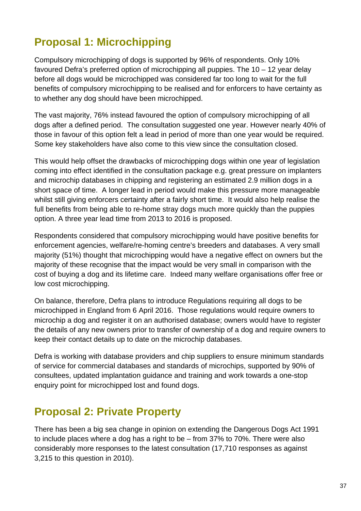## <span id="page-39-0"></span>**Proposal 1: Microchipping**

Compulsory microchipping of dogs is supported by 96% of respondents. Only 10% favoured Defra's preferred option of microchipping all puppies. The 10 – 12 year delay before all dogs would be microchipped was considered far too long to wait for the full benefits of compulsory microchipping to be realised and for enforcers to have certainty as to whether any dog should have been microchipped.

The vast majority, 76% instead favoured the option of compulsory microchipping of all dogs after a defined period. The consultation suggested one year. However nearly 40% of those in favour of this option felt a lead in period of more than one year would be required. Some key stakeholders have also come to this view since the consultation closed.

This would help offset the drawbacks of microchipping dogs within one year of legislation coming into effect identified in the consultation package e.g. great pressure on implanters and microchip databases in chipping and registering an estimated 2.9 million dogs in a short space of time. A longer lead in period would make this pressure more manageable whilst still giving enforcers certainty after a fairly short time. It would also help realise the full benefits from being able to re-home stray dogs much more quickly than the puppies option. A three year lead time from 2013 to 2016 is proposed.

Respondents considered that compulsory microchipping would have positive benefits for enforcement agencies, welfare/re-homing centre's breeders and databases. A very small majority (51%) thought that microchipping would have a negative effect on owners but the majority of these recognise that the impact would be very small in comparison with the cost of buying a dog and its lifetime care. Indeed many welfare organisations offer free or low cost microchipping.

On balance, therefore, Defra plans to introduce Regulations requiring all dogs to be microchipped in England from 6 April 2016. Those regulations would require owners to microchip a dog and register it on an authorised database; owners would have to register the details of any new owners prior to transfer of ownership of a dog and require owners to keep their contact details up to date on the microchip databases.

Defra is working with database providers and chip suppliers to ensure minimum standards of service for commercial databases and standards of microchips, supported by 90% of consultees, updated implantation guidance and training and work towards a one-stop enquiry point for microchipped lost and found dogs.

### **Proposal 2: Private Property**

There has been a big sea change in opinion on extending the Dangerous Dogs Act 1991 to include places where a dog has a right to be – from 37% to 70%. There were also considerably more responses to the latest consultation (17,710 responses as against 3,215 to this question in 2010).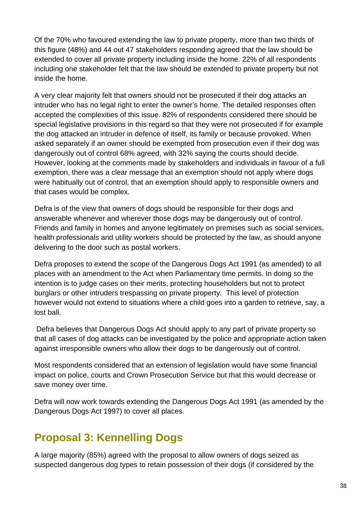<span id="page-40-0"></span>Of the 70% who favoured extending the law to private property, more than two thirds of this figure (48%) and 44 out 47 stakeholders responding agreed that the law should be extended to cover all private property including inside the home. 22% of all respondents including one stakeholder felt that the law should be extended to private property but not inside the home.

A very clear majority felt that owners should not be prosecuted if their dog attacks an intruder who has no legal right to enter the owner's home. The detailed responses often accepted the complexities of this issue. 82% of respondents considered there should be special legislative provisions in this regard so that they were not prosecuted if for example the dog attacked an intruder in defence of itself, its family or because provoked. When asked separately if an owner should be exempted from prosecution even if their dog was dangerously out of control 68% agreed, with 32% saying the courts should decide. However, looking at the comments made by stakeholders and individuals in favour of a full exemption, there was a clear message that an exemption should not apply where dogs were habitually out of control, that an exemption should apply to responsible owners and that cases would be complex.

Defra is of the view that owners of dogs should be responsible for their dogs and answerable whenever and wherever those dogs may be dangerously out of control. Friends and family in homes and anyone legitimately on premises such as social services, health professionals and utility workers should be protected by the law, as should anyone delivering to the door such as postal workers.

Defra proposes to extend the scope of the Dangerous Dogs Act 1991 (as amended) to all places with an amendment to the Act when Parliamentary time permits. In doing so the intention is to judge cases on their merits, protecting householders but not to protect burglars or other intruders trespassing on private property. This level of protection however would not extend to situations where a child goes into a garden to retrieve, say, a lost ball.

 Defra believes that Dangerous Dogs Act should apply to any part of private property so that all cases of dog attacks can be investigated by the police and appropriate action taken against irresponsible owners who allow their dogs to be dangerously out of control.

Most respondents considered that an extension of legislation would have some financial impact on police, courts and Crown Prosecution Service but that this would decrease or save money over time.

Defra will now work towards extending the Dangerous Dogs Act 1991 (as amended by the Dangerous Dogs Act 1997) to cover all places.

### **Proposal 3: Kennelling Dogs**

A large majority (85%) agreed with the proposal to allow owners of dogs seized as suspected dangerous dog types to retain possession of their dogs (if considered by the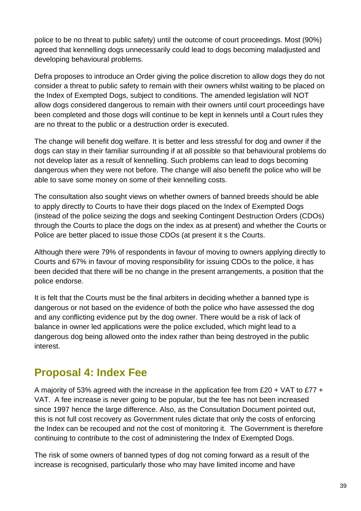<span id="page-41-0"></span>police to be no threat to public safety) until the outcome of court proceedings. Most (90%) agreed that kennelling dogs unnecessarily could lead to dogs becoming maladjusted and developing behavioural problems.

Defra proposes to introduce an Order giving the police discretion to allow dogs they do not consider a threat to public safety to remain with their owners whilst waiting to be placed on the Index of Exempted Dogs, subject to conditions. The amended legislation will NOT allow dogs considered dangerous to remain with their owners until court proceedings have been completed and those dogs will continue to be kept in kennels until a Court rules they are no threat to the public or a destruction order is executed.

The change will benefit dog welfare. It is better and less stressful for dog and owner if the dogs can stay in their familiar surrounding if at all possible so that behavioural problems do not develop later as a result of kennelling. Such problems can lead to dogs becoming dangerous when they were not before. The change will also benefit the police who will be able to save some money on some of their kennelling costs.

The consultation also sought views on whether owners of banned breeds should be able to apply directly to Courts to have their dogs placed on the Index of Exempted Dogs (instead of the police seizing the dogs and seeking Contingent Destruction Orders (CDOs) through the Courts to place the dogs on the index as at present) and whether the Courts or Police are better placed to issue those CDOs (at present it s the Courts.

Although there were 79% of respondents in favour of moving to owners applying directly to Courts and 67% in favour of moving responsibility for issuing CDOs to the police, it has been decided that there will be no change in the present arrangements, a position that the police endorse.

It is felt that the Courts must be the final arbiters in deciding whether a banned type is dangerous or not based on the evidence of both the police who have assessed the dog and any conflicting evidence put by the dog owner. There would be a risk of lack of balance in owner led applications were the police excluded, which might lead to a dangerous dog being allowed onto the index rather than being destroyed in the public interest.

### **Proposal 4: Index Fee**

A majority of 53% agreed with the increase in the application fee from £20 + VAT to £77 + VAT. A fee increase is never going to be popular, but the fee has not been increased since 1997 hence the large difference. Also, as the Consultation Document pointed out, this is not full cost recovery as Government rules dictate that only the costs of enforcing the Index can be recouped and not the cost of monitoring it. The Government is therefore continuing to contribute to the cost of administering the Index of Exempted Dogs.

The risk of some owners of banned types of dog not coming forward as a result of the increase is recognised, particularly those who may have limited income and have